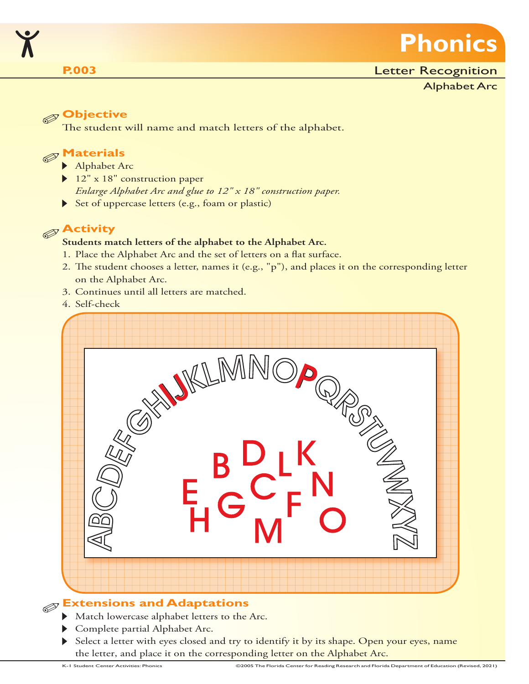

### **P.003**

#### Letter Recognition

Alphabet Arc

# **Objective**

The student will name and match letters of the alphabet.

# **Materials**

- Alphabet Arc
- ▶ 12" x 18" construction paper *Enlarge Alphabet Arc and glue to 12" x 18" construction paper.*
- Set of uppercase letters (e.g., foam or plastic)

# **Activity**

#### **Students match letters of the alphabet to the Alphabet Arc.**

- 1. Place the Alphabet Arc and the set of letters on a flat surface.
- 2. The student chooses a letter, names it (e.g., "p"), and places it on the corresponding letter on the Alphabet Arc.
- 3. Continues until all letters are matched.
- 4. Self-check



- Match lowercase alphabet letters to the Arc.
- Complete partial Alphabet Arc.
- Select a letter with eyes closed and try to identify it by its shape. Open your eyes, name the letter, and place it on the corresponding letter on the Alphabet Arc.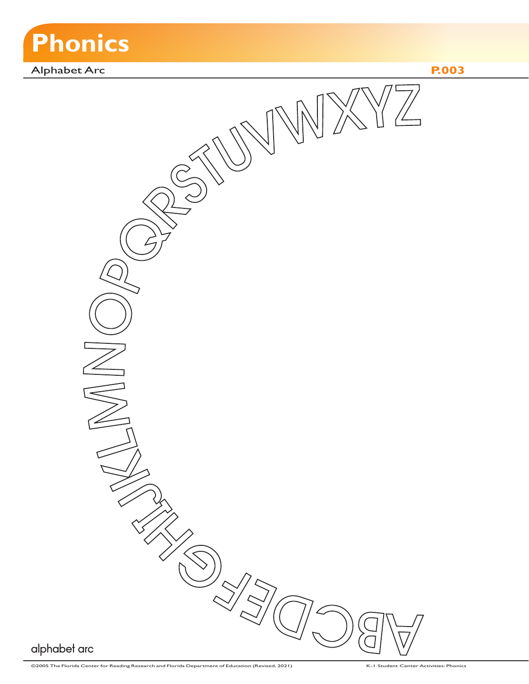

Alphabet Arc **P.003**